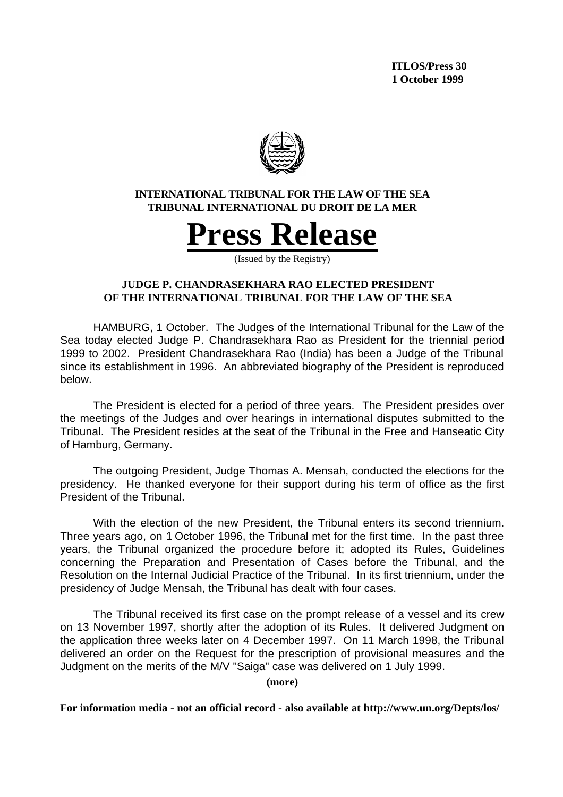**ITLOS/Press 30 1 October 1999**



## **INTERNATIONAL TRIBUNAL FOR THE LAW OF THE SEA TRIBUNAL INTERNATIONAL DU DROIT DE LA MER**



(Issued by the Registry)

# **JUDGE P. CHANDRASEKHARA RAO ELECTED PRESIDENT OF THE INTERNATIONAL TRIBUNAL FOR THE LAW OF THE SEA**

HAMBURG, 1 October. The Judges of the International Tribunal for the Law of the Sea today elected Judge P. Chandrasekhara Rao as President for the triennial period 1999 to 2002. President Chandrasekhara Rao (India) has been a Judge of the Tribunal since its establishment in 1996. An abbreviated biography of the President is reproduced below.

The President is elected for a period of three years. The President presides over the meetings of the Judges and over hearings in international disputes submitted to the Tribunal. The President resides at the seat of the Tribunal in the Free and Hanseatic City of Hamburg, Germany.

The outgoing President, Judge Thomas A. Mensah, conducted the elections for the presidency. He thanked everyone for their support during his term of office as the first President of the Tribunal.

With the election of the new President, the Tribunal enters its second triennium. Three years ago, on 1 October 1996, the Tribunal met for the first time. In the past three years, the Tribunal organized the procedure before it; adopted its Rules, Guidelines concerning the Preparation and Presentation of Cases before the Tribunal, and the Resolution on the Internal Judicial Practice of the Tribunal. In its first triennium, under the presidency of Judge Mensah, the Tribunal has dealt with four cases.

The Tribunal received its first case on the prompt release of a vessel and its crew on 13 November 1997, shortly after the adoption of its Rules. It delivered Judgment on the application three weeks later on 4 December 1997. On 11 March 1998, the Tribunal delivered an order on the Request for the prescription of provisional measures and the Judgment on the merits of the M/V "Saiga" case was delivered on 1 July 1999.

**(more)**

**For information media - not an official record - also available at http://www.un.org/Depts/los/**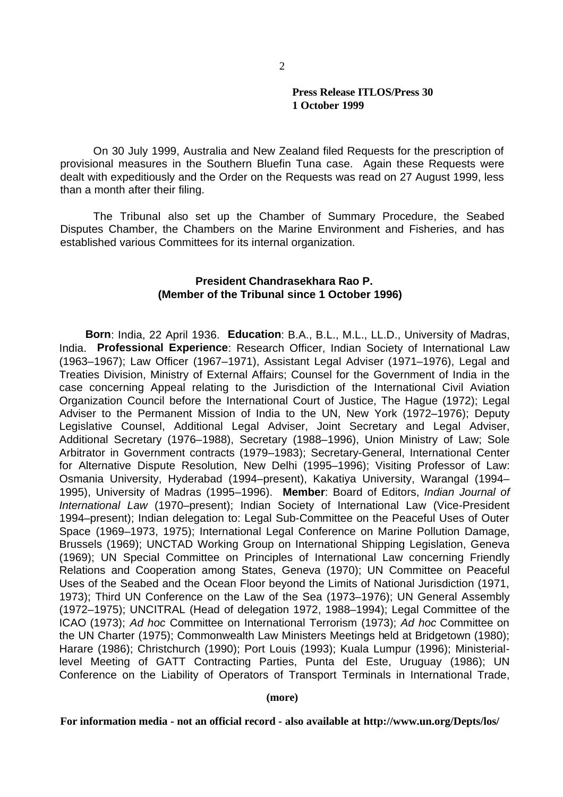### **Press Release ITLOS/Press 30 1 October 1999**

On 30 July 1999, Australia and New Zealand filed Requests for the prescription of provisional measures in the Southern Bluefin Tuna case. Again these Requests were dealt with expeditiously and the Order on the Requests was read on 27 August 1999, less than a month after their filing.

The Tribunal also set up the Chamber of Summary Procedure, the Seabed Disputes Chamber, the Chambers on the Marine Environment and Fisheries, and has established various Committees for its internal organization.

# **President Chandrasekhara Rao P. (Member of the Tribunal since 1 October 1996)**

**Born**: India, 22 April 1936. **Education**: B.A., B.L., M.L., LL.D., University of Madras, India. **Professional Experience**: Research Officer, Indian Society of International Law (1963–1967); Law Officer (1967–1971), Assistant Legal Adviser (1971–1976), Legal and Treaties Division, Ministry of External Affairs; Counsel for the Government of India in the case concerning Appeal relating to the Jurisdiction of the International Civil Aviation Organization Council before the International Court of Justice, The Hague (1972); Legal Adviser to the Permanent Mission of India to the UN, New York (1972–1976); Deputy Legislative Counsel, Additional Legal Adviser, Joint Secretary and Legal Adviser, Additional Secretary (1976–1988), Secretary (1988–1996), Union Ministry of Law; Sole Arbitrator in Government contracts (1979–1983); Secretary-General, International Center for Alternative Dispute Resolution, New Delhi (1995–1996); Visiting Professor of Law: Osmania University, Hyderabad (1994–present), Kakatiya University, Warangal (1994– 1995), University of Madras (1995–1996). **Member**: Board of Editors, *Indian Journal of International Law* (1970–present); Indian Society of International Law (Vice-President 1994–present); Indian delegation to: Legal Sub-Committee on the Peaceful Uses of Outer Space (1969–1973, 1975); International Legal Conference on Marine Pollution Damage, Brussels (1969); UNCTAD Working Group on International Shipping Legislation, Geneva (1969); UN Special Committee on Principles of International Law concerning Friendly Relations and Cooperation among States, Geneva (1970); UN Committee on Peaceful Uses of the Seabed and the Ocean Floor beyond the Limits of National Jurisdiction (1971, 1973); Third UN Conference on the Law of the Sea (1973–1976); UN General Assembly (1972–1975); UNCITRAL (Head of delegation 1972, 1988–1994); Legal Committee of the ICAO (1973); *Ad hoc* Committee on International Terrorism (1973); *Ad hoc* Committee on the UN Charter (1975); Commonwealth Law Ministers Meetings held at Bridgetown (1980); Harare (1986); Christchurch (1990); Port Louis (1993); Kuala Lumpur (1996); Ministeriallevel Meeting of GATT Contracting Parties, Punta del Este, Uruguay (1986); UN Conference on the Liability of Operators of Transport Terminals in International Trade,

#### **(more)**

**For information media - not an official record - also available at http://www.un.org/Depts/los/**